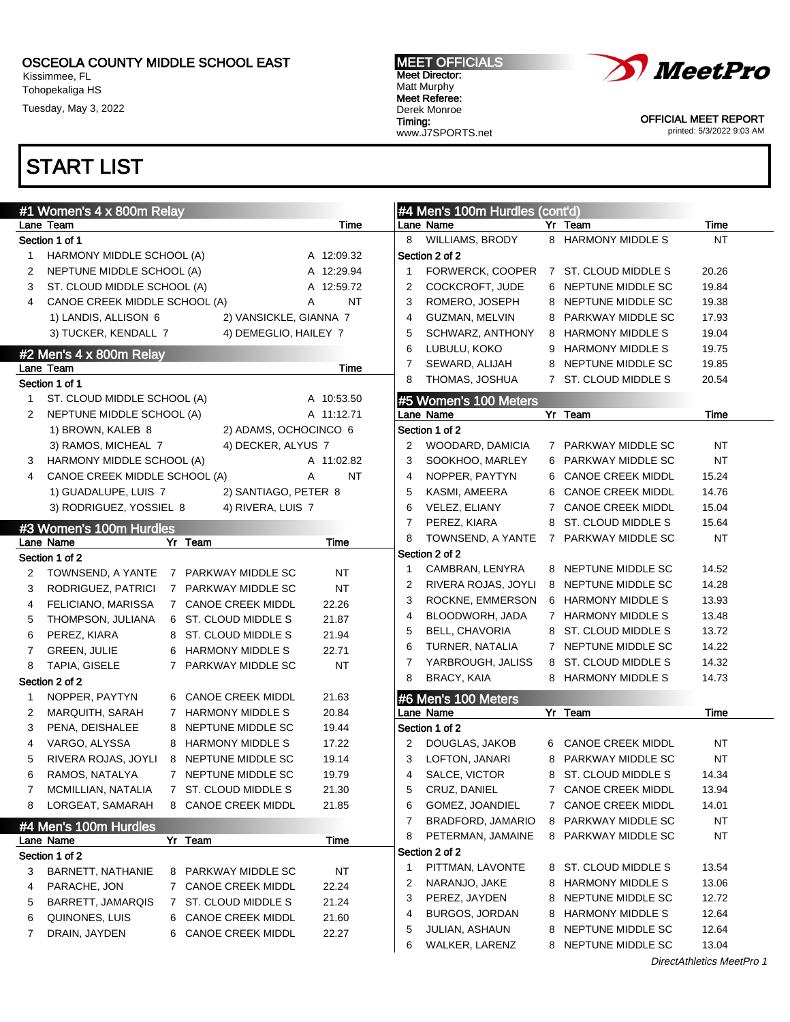Kissimmee, FL Tohopekaliga HS

Tuesday, May 3, 2022

### MEET OFFICIALS Meet Director: Matt Murphy Meet Referee: Derek Monroe Timing: www.J7SPORTS.net



OFFICIAL MEET REPORT printed: 5/3/2022 9:03 AM

|   | #1 Women's 4 x 800m Relay     |   |                          |                |   | #4 Men's 100m Hurdles (cont'd) |   |                         |           |
|---|-------------------------------|---|--------------------------|----------------|---|--------------------------------|---|-------------------------|-----------|
|   | Lane Team                     |   |                          | Time           |   | Lane Name                      |   | Yr Team                 | Time      |
|   | Section 1 of 1                |   |                          |                | 8 | <b>WILLIAMS, BRODY</b>         |   | 8 HARMONY MIDDLE S      | <b>NT</b> |
| 1 | HARMONY MIDDLE SCHOOL (A)     |   |                          | A 12:09.32     |   | Section 2 of 2                 |   |                         |           |
| 2 | NEPTUNE MIDDLE SCHOOL (A)     |   |                          | A 12:29.94     | 1 | FORWERCK, COOPER               |   | 7 ST. CLOUD MIDDLE S    | 20.26     |
| 3 | ST. CLOUD MIDDLE SCHOOL (A)   |   |                          | A 12:59.72     | 2 | COCKCROFT, JUDE                |   | 6 NEPTUNE MIDDLE SC     | 19.84     |
| 4 | CANOE CREEK MIDDLE SCHOOL (A) |   |                          | <b>NT</b><br>A | 3 | ROMERO, JOSEPH                 |   | 8 NEPTUNE MIDDLE SC     | 19.38     |
|   | 1) LANDIS, ALLISON 6          |   | 2) VANSICKLE, GIANNA 7   |                | 4 | GUZMAN, MELVIN                 | 8 | PARKWAY MIDDLE SC       | 17.93     |
|   | 3) TUCKER, KENDALL 7          |   | 4) DEMEGLIO, HAILEY 7    |                | 5 | SCHWARZ, ANTHONY               |   | 8 HARMONY MIDDLE S      | 19.04     |
|   | #2 Men's 4 x 800m Relay       |   |                          |                | 6 | LUBULU, KOKO                   | 9 | <b>HARMONY MIDDLE S</b> | 19.75     |
|   | Lane Team                     |   |                          | Time           | 7 | SEWARD, ALIJAH                 |   | 8 NEPTUNE MIDDLE SC     | 19.85     |
|   | Section 1 of 1                |   |                          |                | 8 | THOMAS, JOSHUA                 |   | 7 ST. CLOUD MIDDLE S    | 20.54     |
| 1 | ST. CLOUD MIDDLE SCHOOL (A)   |   |                          | A 10:53.50     |   | #5 Women's 100 Meters          |   |                         |           |
| 2 | NEPTUNE MIDDLE SCHOOL (A)     |   |                          | A 11:12.71     |   | Lane Name                      |   | Yr Team                 | Time      |
|   | 1) BROWN, KALEB 8             |   | 2) ADAMS, OCHOCINCO 6    |                |   | Section 1 of 2                 |   |                         |           |
|   | 3) RAMOS, MICHEAL 7           |   | 4) DECKER, ALYUS 7       |                | 2 | WOODARD, DAMICIA               |   | 7 PARKWAY MIDDLE SC     | <b>NT</b> |
| 3 | HARMONY MIDDLE SCHOOL (A)     |   |                          | A 11:02.82     | 3 | SOOKHOO, MARLEY                |   | 6 PARKWAY MIDDLE SC     | <b>NT</b> |
| 4 | CANOE CREEK MIDDLE SCHOOL (A) |   |                          | <b>NT</b><br>Α | 4 | NOPPER, PAYTYN                 |   | 6 CANOE CREEK MIDDL     | 15.24     |
|   | 1) GUADALUPE, LUIS 7          |   | 2) SANTIAGO, PETER 8     |                | 5 | KASMI, AMEERA                  |   | 6 CANOE CREEK MIDDL     | 14.76     |
|   | 3) RODRIGUEZ, YOSSIEL 8       |   | 4) RIVERA, LUIS 7        |                | 6 | VELEZ, ELIANY                  |   | 7 CANOE CREEK MIDDL     | 15.04     |
|   | #3 Women's 100m Hurdles       |   |                          |                | 7 | PEREZ, KIARA                   |   | 8 ST. CLOUD MIDDLE S    | 15.64     |
|   | Lane Name                     |   | Yr Team                  | Time           | 8 | TOWNSEND, A YANTE              |   | 7 PARKWAY MIDDLE SC     | <b>NT</b> |
|   | Section 1 of 2                |   |                          |                |   | Section 2 of 2                 |   |                         |           |
| 2 | TOWNSEND, A YANTE             |   | 7 PARKWAY MIDDLE SC      | <b>NT</b>      | 1 | CAMBRAN, LENYRA                |   | 8 NEPTUNE MIDDLE SC     | 14.52     |
| 3 | RODRIGUEZ, PATRICI            |   | 7 PARKWAY MIDDLE SC      | <b>NT</b>      | 2 | RIVERA ROJAS, JOYLI            |   | 8 NEPTUNE MIDDLE SC     | 14.28     |
| 4 | FELICIANO, MARISSA            |   | 7 CANOE CREEK MIDDL      | 22.26          | 3 | ROCKNE, EMMERSON               |   | 6 HARMONY MIDDLE S      | 13.93     |
| 5 | THOMPSON, JULIANA             |   | 6 ST. CLOUD MIDDLE S     | 21.87          | 4 | BLOODWORH, JADA                |   | 7 HARMONY MIDDLE S      | 13.48     |
| 6 | PEREZ, KIARA                  | 8 | ST. CLOUD MIDDLE S       | 21.94          | 5 | <b>BELL, CHAVORIA</b>          |   | 8 ST. CLOUD MIDDLE S    | 13.72     |
| 7 | <b>GREEN, JULIE</b>           | 6 | <b>HARMONY MIDDLE S</b>  | 22.71          | 6 | TURNER, NATALIA                |   | 7 NEPTUNE MIDDLE SC     | 14.22     |
| 8 | TAPIA, GISELE                 |   | 7 PARKWAY MIDDLE SC      | <b>NT</b>      | 7 | YARBROUGH, JALISS              |   | 8 ST. CLOUD MIDDLE S    | 14.32     |
|   | Section 2 of 2                |   |                          |                | 8 | BRACY, KAIA                    |   | 8 HARMONY MIDDLE S      | 14.73     |
| 1 | NOPPER, PAYTYN                |   | 6 CANOE CREEK MIDDL      | 21.63          |   | #6 Men's 100 Meters            |   |                         |           |
| 2 | MARQUITH, SARAH               |   | 7 HARMONY MIDDLE S       | 20.84          |   | Lane Name                      |   | Yr Team                 | Time      |
| 3 | PENA, DEISHALEE               | 8 | NEPTUNE MIDDLE SC        | 19.44          |   | Section 1 of 2                 |   |                         |           |
| 4 | VARGO, ALYSSA                 | 8 | <b>HARMONY MIDDLE S</b>  | 17.22          | 2 | DOUGLAS, JAKOB                 |   | 6 CANOE CREEK MIDDL     | <b>NT</b> |
| 5 | RIVERA ROJAS, JOYLI           |   | 8 NEPTUNE MIDDLE SC      | 19.14          | 3 | LOFTON, JANARI                 | 8 | PARKWAY MIDDLE SC       | <b>NT</b> |
| 6 | RAMOS, NATALYA                |   | 7 NEPTUNE MIDDLE SC      | 19.79          | 4 | SALCE, VICTOR                  |   | 8 ST. CLOUD MIDDLE S    | 14.34     |
| 7 | MCMILLIAN, NATALIA            |   | 7 ST. CLOUD MIDDLE S     | 21.30          | 5 | CRUZ, DANIEL                   |   | 7 CANOE CREEK MIDDL     | 13.94     |
| 8 | LORGEAT, SAMARAH              |   | 8 CANOE CREEK MIDDL      | 21.85          | 6 | GOMEZ, JOANDIEL                |   | 7 CANOE CREEK MIDDL     | 14.01     |
|   |                               |   |                          |                | 7 | BRADFORD, JAMARIO              | 8 | PARKWAY MIDDLE SC       | NT        |
|   | #4 Men's 100m Hurdles         |   |                          |                | 8 | PETERMAN, JAMAINE              |   | 8 PARKWAY MIDDLE SC     | NT        |
|   | Lane Name                     |   | Yr Team                  | Time           |   | Section 2 of 2                 |   |                         |           |
|   | Section 1 of 2                |   |                          |                | 1 | PITTMAN, LAVONTE               |   | 8 ST. CLOUD MIDDLE S    | 13.54     |
| 3 | <b>BARNETT, NATHANIE</b>      | 8 | PARKWAY MIDDLE SC        | NT             | 2 | NARANJO, JAKE                  | 8 | <b>HARMONY MIDDLE S</b> | 13.06     |
| 4 | PARACHE, JON                  |   | 7 CANOE CREEK MIDDL      | 22.24          | 3 | PEREZ, JAYDEN                  | 8 | NEPTUNE MIDDLE SC       | 12.72     |
| 5 | <b>BARRETT, JAMARQIS</b>      | 7 | ST. CLOUD MIDDLE S       | 21.24          | 4 | BURGOS, JORDAN                 | 8 | <b>HARMONY MIDDLE S</b> | 12.64     |
| 6 | QUINONES, LUIS                | 6 | <b>CANOE CREEK MIDDL</b> | 21.60          | 5 | <b>JULIAN, ASHAUN</b>          | 8 | NEPTUNE MIDDLE SC       | 12.64     |
| 7 | DRAIN, JAYDEN                 | 6 | <b>CANOE CREEK MIDDL</b> | 22.27          | 6 | WALKER, LARENZ                 | 8 | NEPTUNE MIDDLE SC       | 13.04     |
|   |                               |   |                          |                |   |                                |   |                         |           |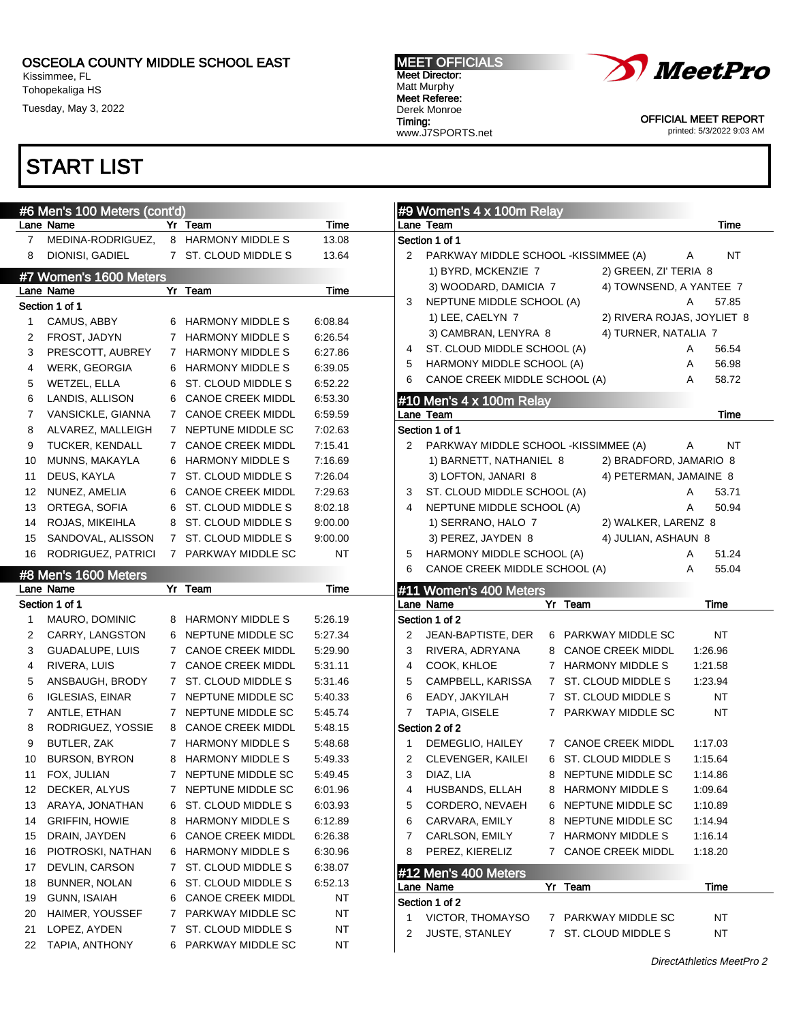Kissimmee, FL Tohopekaliga HS

Tuesday, May 3, 2022

# START LIST

| Lane Name<br>Yr Team<br>Time<br>Lane Team<br>Time<br>MEDINA-RODRIGUEZ.<br>8 HARMONY MIDDLE S<br>13.08<br>Section 1 of 1<br>$7^{\circ}$<br>DIONISI, GADIEL<br><b>NT</b><br>7 ST. CLOUD MIDDLE S<br>13.64<br>PARKWAY MIDDLE SCHOOL -KISSIMMEE (A)<br>8<br>Α<br>2<br>1) BYRD, MCKENZIE 7<br>2) GREEN, ZI' TERIA 8<br>#7 Women's 1600 Meters<br>3) WOODARD, DAMICIA 7<br>4) TOWNSEND, A YANTEE 7<br>$Yr$ Team<br>Lane Name<br>Time<br>NEPTUNE MIDDLE SCHOOL (A)<br>57.85<br>3<br>Α<br>Section 1 of 1<br>2) RIVERA ROJAS, JOYLIET 8<br>1) LEE, CAELYN 7<br>CAMUS, ABBY<br>6 HARMONY MIDDLE S<br>6:08.84<br>1<br>4) TURNER, NATALIA 7<br>3) CAMBRAN, LENYRA 8<br>FROST, JADYN<br>7 HARMONY MIDDLE S<br>6:26.54<br>2<br>56.54<br>ST. CLOUD MIDDLE SCHOOL (A)<br>Α<br>4<br>PRESCOTT, AUBREY<br>7 HARMONY MIDDLE S<br>6:27.86<br>3<br>56.98<br>HARMONY MIDDLE SCHOOL (A)<br>5<br>Α<br><b>WERK, GEORGIA</b><br>6 HARMONY MIDDLE S<br>6:39.05<br>4<br>58.72<br>CANOE CREEK MIDDLE SCHOOL (A)<br>6<br>A<br>6:52.22<br>WETZEL, ELLA<br>ST. CLOUD MIDDLE S<br>5<br>6<br>6:53.30<br>6<br>LANDIS, ALLISON<br><b>CANOE CREEK MIDDL</b><br>6<br>#10 Men's $4 \times 100$ m Relay<br>VANSICKLE, GIANNA<br>7 CANOE CREEK MIDDL<br>6:59.59<br>Time<br>7<br>Lane Team<br>Section 1 of 1<br>ALVAREZ, MALLEIGH<br>7 NEPTUNE MIDDLE SC<br>7:02.63<br>8<br>TUCKER, KENDALL<br>7 CANOE CREEK MIDDL<br>7:15.41<br>PARKWAY MIDDLE SCHOOL -KISSIMMEE (A)<br>NT<br>9<br>2<br>Α<br>MUNNS, MAKAYLA<br>6 HARMONY MIDDLE S<br>7:16.69<br>2) BRADFORD, JAMARIO 8<br>1) BARNETT, NATHANIEL 8<br>10<br>DEUS, KAYLA<br>7 ST. CLOUD MIDDLE S<br>7:26.04<br>3) LOFTON, JANARI 8<br>4) PETERMAN, JAMAINE 8<br>11<br>NUNEZ, AMELIA<br><b>CANOE CREEK MIDDL</b><br>7:29.63<br>ST. CLOUD MIDDLE SCHOOL (A)<br>53.71<br>12<br>6<br>3<br>Α<br>50.94<br>ORTEGA, SOFIA<br>ST. CLOUD MIDDLE S<br>8:02.18<br>NEPTUNE MIDDLE SCHOOL (A)<br>13<br>4<br>Α<br>6<br>2) WALKER, LARENZ 8<br>ROJAS, MIKEIHLA<br>8 ST. CLOUD MIDDLE S<br>1) SERRANO, HALO 7<br>9:00.00<br>14<br>7 ST. CLOUD MIDDLE S<br>SANDOVAL, ALISSON<br>3) PEREZ, JAYDEN 8<br>4) JULIAN, ASHAUN 8<br>9:00.00<br>15<br>RODRIGUEZ, PATRICI<br>7 PARKWAY MIDDLE SC<br><b>NT</b><br>HARMONY MIDDLE SCHOOL (A)<br>51.24<br>16<br>5<br>Α<br>CANOE CREEK MIDDLE SCHOOL (A)<br>55.04<br>6<br>A<br>#8 Men's 1600 Meters<br>Lane Name<br>Yr Team<br>Time<br>#11 Women's 400 Meters<br>Section 1 of 1<br>Lane Name<br>Yr Team<br>Time<br>Section 1 of 2<br>MAURO, DOMINIC<br><b>HARMONY MIDDLE S</b><br>5:26.19<br>1<br>8<br><b>NT</b><br>CARRY, LANGSTON<br>NEPTUNE MIDDLE SC<br>5:27.34<br>JEAN-BAPTISTE, DER<br>6 PARKWAY MIDDLE SC<br>2<br>2<br>6<br>1:26.96<br>GUADALUPE, LUIS<br>7 CANOE CREEK MIDDL<br>5:29.90<br>3<br>RIVERA, ADRYANA<br><b>CANOE CREEK MIDDL</b><br>3<br>8<br>1:21.58<br>RIVERA, LUIS<br>7 CANOE CREEK MIDDL<br>5:31.11<br>COOK, KHLOE<br>7 HARMONY MIDDLE S<br>4<br>4<br>CAMPBELL, KARISSA<br>ANSBAUGH, BRODY<br>ST. CLOUD MIDDLE S<br>5:31.46<br>5<br>7 ST. CLOUD MIDDLE S<br>1:23.94<br>5<br>$7\phantom{0}$<br><b>IGLESIAS, EINAR</b><br>7 NEPTUNE MIDDLE SC<br>5:40.33<br>6<br>EADY, JAKYILAH<br>7 ST. CLOUD MIDDLE S<br>NT<br>6<br>TAPIA, GISELE<br>ANTLE, ETHAN<br>NEPTUNE MIDDLE SC<br>5:45.74<br>$\overline{7}$<br>7 PARKWAY MIDDLE SC<br>NT<br>$\mathbf{7}$<br>$7^{\circ}$<br>Section 2 of 2<br>RODRIGUEZ, YOSSIE<br><b>CANOE CREEK MIDDL</b><br>5:48.15<br>8<br>8<br>9<br>BUTLER, ZAK<br>7 HARMONY MIDDLE S<br>5:48.68<br>DEMEGLIO, HAILEY<br>7 CANOE CREEK MIDDL<br>1:17.03<br>1<br>6 ST. CLOUD MIDDLE S<br><b>BURSON, BYRON</b><br><b>HARMONY MIDDLE S</b><br>2<br>CLEVENGER, KAILEI<br>1:15.64<br>10<br>8<br>5:49.33<br>3<br>DIAZ, LIA<br>8 NEPTUNE MIDDLE SC<br>FOX, JULIAN<br>7 NEPTUNE MIDDLE SC<br>11<br>5:49.45<br>1:14.86<br>DECKER, ALYUS<br>NEPTUNE MIDDLE SC<br>HUSBANDS, ELLAH<br><b>HARMONY MIDDLE S</b><br>1:09.64<br>7<br>6:01.96<br>4<br>8<br>12<br>ARAYA, JONATHAN<br>CORDERO, NEVAEH<br>NEPTUNE MIDDLE SC<br>ST. CLOUD MIDDLE S<br>6:03.93<br>5<br>1:10.89<br>13<br>6<br>6<br>CARVARA, EMILY<br>NEPTUNE MIDDLE SC<br><b>GRIFFIN, HOWIE</b><br>HARMONY MIDDLE S<br>6:12.89<br>1:14.94<br>14<br>8<br>6<br>8<br>CARLSON, EMILY<br>DRAIN, JAYDEN<br><b>CANOE CREEK MIDDL</b><br>6:26.38<br><b>HARMONY MIDDLE S</b><br>1:16.14<br>15<br>6<br>7<br>7<br><b>HARMONY MIDDLE S</b><br>PEREZ, KIERELIZ<br><b>CANOE CREEK MIDDL</b><br>PIOTROSKI, NATHAN<br>6:30.96<br>8<br>1:18.20<br>16<br>7<br>6<br>DEVLIN, CARSON<br>ST. CLOUD MIDDLE S<br>6:38.07<br>17<br>7<br>#12 Men's 400 Meters<br>BUNNER, NOLAN<br>ST. CLOUD MIDDLE S<br>6:52.13<br>18<br>6<br>Lane Name<br>Yr Team<br>Time<br>GUNN, ISAIAH<br><b>CANOE CREEK MIDDL</b><br>NT<br>19<br>6<br>Section 1 of 2<br>PARKWAY MIDDLE SC<br>NT<br>HAIMER, YOUSSEF<br>20<br>7<br>VICTOR, THOMAYSO<br>7 PARKWAY MIDDLE SC<br>NT<br>ST. CLOUD MIDDLE S<br>NT<br>LOPEZ, AYDEN<br>21<br>7<br>7 ST. CLOUD MIDDLE S<br>NT<br>2<br><b>JUSTE, STANLEY</b><br>TAPIA, ANTHONY<br>PARKWAY MIDDLE SC<br><b>NT</b><br>22<br>6. | #6 Men's 100 Meters (cont'd) |  | #9 Women's 4 x 100m Relay |
|--------------------------------------------------------------------------------------------------------------------------------------------------------------------------------------------------------------------------------------------------------------------------------------------------------------------------------------------------------------------------------------------------------------------------------------------------------------------------------------------------------------------------------------------------------------------------------------------------------------------------------------------------------------------------------------------------------------------------------------------------------------------------------------------------------------------------------------------------------------------------------------------------------------------------------------------------------------------------------------------------------------------------------------------------------------------------------------------------------------------------------------------------------------------------------------------------------------------------------------------------------------------------------------------------------------------------------------------------------------------------------------------------------------------------------------------------------------------------------------------------------------------------------------------------------------------------------------------------------------------------------------------------------------------------------------------------------------------------------------------------------------------------------------------------------------------------------------------------------------------------------------------------------------------------------------------------------------------------------------------------------------------------------------------------------------------------------------------------------------------------------------------------------------------------------------------------------------------------------------------------------------------------------------------------------------------------------------------------------------------------------------------------------------------------------------------------------------------------------------------------------------------------------------------------------------------------------------------------------------------------------------------------------------------------------------------------------------------------------------------------------------------------------------------------------------------------------------------------------------------------------------------------------------------------------------------------------------------------------------------------------------------------------------------------------------------------------------------------------------------------------------------------------------------------------------------------------------------------------------------------------------------------------------------------------------------------------------------------------------------------------------------------------------------------------------------------------------------------------------------------------------------------------------------------------------------------------------------------------------------------------------------------------------------------------------------------------------------------------------------------------------------------------------------------------------------------------------------------------------------------------------------------------------------------------------------------------------------------------------------------------------------------------------------------------------------------------------------------------------------------------------------------------------------------------------------------------------------------------------------------------------------------------------------------------------------------------------------------------------------------------------------------------------------------------------------------------------------------------------------------------------------------------------------------------------------------------------------------------------------------------------------------------------------------------------------------------------------------------------------------------------------------------------------------------------------------------------------------------------------------------------------------------------------------------------------------------------------------------------------------------------|------------------------------|--|---------------------------|
|                                                                                                                                                                                                                                                                                                                                                                                                                                                                                                                                                                                                                                                                                                                                                                                                                                                                                                                                                                                                                                                                                                                                                                                                                                                                                                                                                                                                                                                                                                                                                                                                                                                                                                                                                                                                                                                                                                                                                                                                                                                                                                                                                                                                                                                                                                                                                                                                                                                                                                                                                                                                                                                                                                                                                                                                                                                                                                                                                                                                                                                                                                                                                                                                                                                                                                                                                                                                                                                                                                                                                                                                                                                                                                                                                                                                                                                                                                                                                                                                                                                                                                                                                                                                                                                                                                                                                                                                                                                                                                                                                                                                                                                                                                                                                                                                                                                                                                                                                                                                              |                              |  |                           |
|                                                                                                                                                                                                                                                                                                                                                                                                                                                                                                                                                                                                                                                                                                                                                                                                                                                                                                                                                                                                                                                                                                                                                                                                                                                                                                                                                                                                                                                                                                                                                                                                                                                                                                                                                                                                                                                                                                                                                                                                                                                                                                                                                                                                                                                                                                                                                                                                                                                                                                                                                                                                                                                                                                                                                                                                                                                                                                                                                                                                                                                                                                                                                                                                                                                                                                                                                                                                                                                                                                                                                                                                                                                                                                                                                                                                                                                                                                                                                                                                                                                                                                                                                                                                                                                                                                                                                                                                                                                                                                                                                                                                                                                                                                                                                                                                                                                                                                                                                                                                              |                              |  |                           |
|                                                                                                                                                                                                                                                                                                                                                                                                                                                                                                                                                                                                                                                                                                                                                                                                                                                                                                                                                                                                                                                                                                                                                                                                                                                                                                                                                                                                                                                                                                                                                                                                                                                                                                                                                                                                                                                                                                                                                                                                                                                                                                                                                                                                                                                                                                                                                                                                                                                                                                                                                                                                                                                                                                                                                                                                                                                                                                                                                                                                                                                                                                                                                                                                                                                                                                                                                                                                                                                                                                                                                                                                                                                                                                                                                                                                                                                                                                                                                                                                                                                                                                                                                                                                                                                                                                                                                                                                                                                                                                                                                                                                                                                                                                                                                                                                                                                                                                                                                                                                              |                              |  |                           |
|                                                                                                                                                                                                                                                                                                                                                                                                                                                                                                                                                                                                                                                                                                                                                                                                                                                                                                                                                                                                                                                                                                                                                                                                                                                                                                                                                                                                                                                                                                                                                                                                                                                                                                                                                                                                                                                                                                                                                                                                                                                                                                                                                                                                                                                                                                                                                                                                                                                                                                                                                                                                                                                                                                                                                                                                                                                                                                                                                                                                                                                                                                                                                                                                                                                                                                                                                                                                                                                                                                                                                                                                                                                                                                                                                                                                                                                                                                                                                                                                                                                                                                                                                                                                                                                                                                                                                                                                                                                                                                                                                                                                                                                                                                                                                                                                                                                                                                                                                                                                              |                              |  |                           |
|                                                                                                                                                                                                                                                                                                                                                                                                                                                                                                                                                                                                                                                                                                                                                                                                                                                                                                                                                                                                                                                                                                                                                                                                                                                                                                                                                                                                                                                                                                                                                                                                                                                                                                                                                                                                                                                                                                                                                                                                                                                                                                                                                                                                                                                                                                                                                                                                                                                                                                                                                                                                                                                                                                                                                                                                                                                                                                                                                                                                                                                                                                                                                                                                                                                                                                                                                                                                                                                                                                                                                                                                                                                                                                                                                                                                                                                                                                                                                                                                                                                                                                                                                                                                                                                                                                                                                                                                                                                                                                                                                                                                                                                                                                                                                                                                                                                                                                                                                                                                              |                              |  |                           |
|                                                                                                                                                                                                                                                                                                                                                                                                                                                                                                                                                                                                                                                                                                                                                                                                                                                                                                                                                                                                                                                                                                                                                                                                                                                                                                                                                                                                                                                                                                                                                                                                                                                                                                                                                                                                                                                                                                                                                                                                                                                                                                                                                                                                                                                                                                                                                                                                                                                                                                                                                                                                                                                                                                                                                                                                                                                                                                                                                                                                                                                                                                                                                                                                                                                                                                                                                                                                                                                                                                                                                                                                                                                                                                                                                                                                                                                                                                                                                                                                                                                                                                                                                                                                                                                                                                                                                                                                                                                                                                                                                                                                                                                                                                                                                                                                                                                                                                                                                                                                              |                              |  |                           |
|                                                                                                                                                                                                                                                                                                                                                                                                                                                                                                                                                                                                                                                                                                                                                                                                                                                                                                                                                                                                                                                                                                                                                                                                                                                                                                                                                                                                                                                                                                                                                                                                                                                                                                                                                                                                                                                                                                                                                                                                                                                                                                                                                                                                                                                                                                                                                                                                                                                                                                                                                                                                                                                                                                                                                                                                                                                                                                                                                                                                                                                                                                                                                                                                                                                                                                                                                                                                                                                                                                                                                                                                                                                                                                                                                                                                                                                                                                                                                                                                                                                                                                                                                                                                                                                                                                                                                                                                                                                                                                                                                                                                                                                                                                                                                                                                                                                                                                                                                                                                              |                              |  |                           |
|                                                                                                                                                                                                                                                                                                                                                                                                                                                                                                                                                                                                                                                                                                                                                                                                                                                                                                                                                                                                                                                                                                                                                                                                                                                                                                                                                                                                                                                                                                                                                                                                                                                                                                                                                                                                                                                                                                                                                                                                                                                                                                                                                                                                                                                                                                                                                                                                                                                                                                                                                                                                                                                                                                                                                                                                                                                                                                                                                                                                                                                                                                                                                                                                                                                                                                                                                                                                                                                                                                                                                                                                                                                                                                                                                                                                                                                                                                                                                                                                                                                                                                                                                                                                                                                                                                                                                                                                                                                                                                                                                                                                                                                                                                                                                                                                                                                                                                                                                                                                              |                              |  |                           |
|                                                                                                                                                                                                                                                                                                                                                                                                                                                                                                                                                                                                                                                                                                                                                                                                                                                                                                                                                                                                                                                                                                                                                                                                                                                                                                                                                                                                                                                                                                                                                                                                                                                                                                                                                                                                                                                                                                                                                                                                                                                                                                                                                                                                                                                                                                                                                                                                                                                                                                                                                                                                                                                                                                                                                                                                                                                                                                                                                                                                                                                                                                                                                                                                                                                                                                                                                                                                                                                                                                                                                                                                                                                                                                                                                                                                                                                                                                                                                                                                                                                                                                                                                                                                                                                                                                                                                                                                                                                                                                                                                                                                                                                                                                                                                                                                                                                                                                                                                                                                              |                              |  |                           |
|                                                                                                                                                                                                                                                                                                                                                                                                                                                                                                                                                                                                                                                                                                                                                                                                                                                                                                                                                                                                                                                                                                                                                                                                                                                                                                                                                                                                                                                                                                                                                                                                                                                                                                                                                                                                                                                                                                                                                                                                                                                                                                                                                                                                                                                                                                                                                                                                                                                                                                                                                                                                                                                                                                                                                                                                                                                                                                                                                                                                                                                                                                                                                                                                                                                                                                                                                                                                                                                                                                                                                                                                                                                                                                                                                                                                                                                                                                                                                                                                                                                                                                                                                                                                                                                                                                                                                                                                                                                                                                                                                                                                                                                                                                                                                                                                                                                                                                                                                                                                              |                              |  |                           |
|                                                                                                                                                                                                                                                                                                                                                                                                                                                                                                                                                                                                                                                                                                                                                                                                                                                                                                                                                                                                                                                                                                                                                                                                                                                                                                                                                                                                                                                                                                                                                                                                                                                                                                                                                                                                                                                                                                                                                                                                                                                                                                                                                                                                                                                                                                                                                                                                                                                                                                                                                                                                                                                                                                                                                                                                                                                                                                                                                                                                                                                                                                                                                                                                                                                                                                                                                                                                                                                                                                                                                                                                                                                                                                                                                                                                                                                                                                                                                                                                                                                                                                                                                                                                                                                                                                                                                                                                                                                                                                                                                                                                                                                                                                                                                                                                                                                                                                                                                                                                              |                              |  |                           |
|                                                                                                                                                                                                                                                                                                                                                                                                                                                                                                                                                                                                                                                                                                                                                                                                                                                                                                                                                                                                                                                                                                                                                                                                                                                                                                                                                                                                                                                                                                                                                                                                                                                                                                                                                                                                                                                                                                                                                                                                                                                                                                                                                                                                                                                                                                                                                                                                                                                                                                                                                                                                                                                                                                                                                                                                                                                                                                                                                                                                                                                                                                                                                                                                                                                                                                                                                                                                                                                                                                                                                                                                                                                                                                                                                                                                                                                                                                                                                                                                                                                                                                                                                                                                                                                                                                                                                                                                                                                                                                                                                                                                                                                                                                                                                                                                                                                                                                                                                                                                              |                              |  |                           |
|                                                                                                                                                                                                                                                                                                                                                                                                                                                                                                                                                                                                                                                                                                                                                                                                                                                                                                                                                                                                                                                                                                                                                                                                                                                                                                                                                                                                                                                                                                                                                                                                                                                                                                                                                                                                                                                                                                                                                                                                                                                                                                                                                                                                                                                                                                                                                                                                                                                                                                                                                                                                                                                                                                                                                                                                                                                                                                                                                                                                                                                                                                                                                                                                                                                                                                                                                                                                                                                                                                                                                                                                                                                                                                                                                                                                                                                                                                                                                                                                                                                                                                                                                                                                                                                                                                                                                                                                                                                                                                                                                                                                                                                                                                                                                                                                                                                                                                                                                                                                              |                              |  |                           |
|                                                                                                                                                                                                                                                                                                                                                                                                                                                                                                                                                                                                                                                                                                                                                                                                                                                                                                                                                                                                                                                                                                                                                                                                                                                                                                                                                                                                                                                                                                                                                                                                                                                                                                                                                                                                                                                                                                                                                                                                                                                                                                                                                                                                                                                                                                                                                                                                                                                                                                                                                                                                                                                                                                                                                                                                                                                                                                                                                                                                                                                                                                                                                                                                                                                                                                                                                                                                                                                                                                                                                                                                                                                                                                                                                                                                                                                                                                                                                                                                                                                                                                                                                                                                                                                                                                                                                                                                                                                                                                                                                                                                                                                                                                                                                                                                                                                                                                                                                                                                              |                              |  |                           |
|                                                                                                                                                                                                                                                                                                                                                                                                                                                                                                                                                                                                                                                                                                                                                                                                                                                                                                                                                                                                                                                                                                                                                                                                                                                                                                                                                                                                                                                                                                                                                                                                                                                                                                                                                                                                                                                                                                                                                                                                                                                                                                                                                                                                                                                                                                                                                                                                                                                                                                                                                                                                                                                                                                                                                                                                                                                                                                                                                                                                                                                                                                                                                                                                                                                                                                                                                                                                                                                                                                                                                                                                                                                                                                                                                                                                                                                                                                                                                                                                                                                                                                                                                                                                                                                                                                                                                                                                                                                                                                                                                                                                                                                                                                                                                                                                                                                                                                                                                                                                              |                              |  |                           |
|                                                                                                                                                                                                                                                                                                                                                                                                                                                                                                                                                                                                                                                                                                                                                                                                                                                                                                                                                                                                                                                                                                                                                                                                                                                                                                                                                                                                                                                                                                                                                                                                                                                                                                                                                                                                                                                                                                                                                                                                                                                                                                                                                                                                                                                                                                                                                                                                                                                                                                                                                                                                                                                                                                                                                                                                                                                                                                                                                                                                                                                                                                                                                                                                                                                                                                                                                                                                                                                                                                                                                                                                                                                                                                                                                                                                                                                                                                                                                                                                                                                                                                                                                                                                                                                                                                                                                                                                                                                                                                                                                                                                                                                                                                                                                                                                                                                                                                                                                                                                              |                              |  |                           |
|                                                                                                                                                                                                                                                                                                                                                                                                                                                                                                                                                                                                                                                                                                                                                                                                                                                                                                                                                                                                                                                                                                                                                                                                                                                                                                                                                                                                                                                                                                                                                                                                                                                                                                                                                                                                                                                                                                                                                                                                                                                                                                                                                                                                                                                                                                                                                                                                                                                                                                                                                                                                                                                                                                                                                                                                                                                                                                                                                                                                                                                                                                                                                                                                                                                                                                                                                                                                                                                                                                                                                                                                                                                                                                                                                                                                                                                                                                                                                                                                                                                                                                                                                                                                                                                                                                                                                                                                                                                                                                                                                                                                                                                                                                                                                                                                                                                                                                                                                                                                              |                              |  |                           |
|                                                                                                                                                                                                                                                                                                                                                                                                                                                                                                                                                                                                                                                                                                                                                                                                                                                                                                                                                                                                                                                                                                                                                                                                                                                                                                                                                                                                                                                                                                                                                                                                                                                                                                                                                                                                                                                                                                                                                                                                                                                                                                                                                                                                                                                                                                                                                                                                                                                                                                                                                                                                                                                                                                                                                                                                                                                                                                                                                                                                                                                                                                                                                                                                                                                                                                                                                                                                                                                                                                                                                                                                                                                                                                                                                                                                                                                                                                                                                                                                                                                                                                                                                                                                                                                                                                                                                                                                                                                                                                                                                                                                                                                                                                                                                                                                                                                                                                                                                                                                              |                              |  |                           |
|                                                                                                                                                                                                                                                                                                                                                                                                                                                                                                                                                                                                                                                                                                                                                                                                                                                                                                                                                                                                                                                                                                                                                                                                                                                                                                                                                                                                                                                                                                                                                                                                                                                                                                                                                                                                                                                                                                                                                                                                                                                                                                                                                                                                                                                                                                                                                                                                                                                                                                                                                                                                                                                                                                                                                                                                                                                                                                                                                                                                                                                                                                                                                                                                                                                                                                                                                                                                                                                                                                                                                                                                                                                                                                                                                                                                                                                                                                                                                                                                                                                                                                                                                                                                                                                                                                                                                                                                                                                                                                                                                                                                                                                                                                                                                                                                                                                                                                                                                                                                              |                              |  |                           |
|                                                                                                                                                                                                                                                                                                                                                                                                                                                                                                                                                                                                                                                                                                                                                                                                                                                                                                                                                                                                                                                                                                                                                                                                                                                                                                                                                                                                                                                                                                                                                                                                                                                                                                                                                                                                                                                                                                                                                                                                                                                                                                                                                                                                                                                                                                                                                                                                                                                                                                                                                                                                                                                                                                                                                                                                                                                                                                                                                                                                                                                                                                                                                                                                                                                                                                                                                                                                                                                                                                                                                                                                                                                                                                                                                                                                                                                                                                                                                                                                                                                                                                                                                                                                                                                                                                                                                                                                                                                                                                                                                                                                                                                                                                                                                                                                                                                                                                                                                                                                              |                              |  |                           |
|                                                                                                                                                                                                                                                                                                                                                                                                                                                                                                                                                                                                                                                                                                                                                                                                                                                                                                                                                                                                                                                                                                                                                                                                                                                                                                                                                                                                                                                                                                                                                                                                                                                                                                                                                                                                                                                                                                                                                                                                                                                                                                                                                                                                                                                                                                                                                                                                                                                                                                                                                                                                                                                                                                                                                                                                                                                                                                                                                                                                                                                                                                                                                                                                                                                                                                                                                                                                                                                                                                                                                                                                                                                                                                                                                                                                                                                                                                                                                                                                                                                                                                                                                                                                                                                                                                                                                                                                                                                                                                                                                                                                                                                                                                                                                                                                                                                                                                                                                                                                              |                              |  |                           |
|                                                                                                                                                                                                                                                                                                                                                                                                                                                                                                                                                                                                                                                                                                                                                                                                                                                                                                                                                                                                                                                                                                                                                                                                                                                                                                                                                                                                                                                                                                                                                                                                                                                                                                                                                                                                                                                                                                                                                                                                                                                                                                                                                                                                                                                                                                                                                                                                                                                                                                                                                                                                                                                                                                                                                                                                                                                                                                                                                                                                                                                                                                                                                                                                                                                                                                                                                                                                                                                                                                                                                                                                                                                                                                                                                                                                                                                                                                                                                                                                                                                                                                                                                                                                                                                                                                                                                                                                                                                                                                                                                                                                                                                                                                                                                                                                                                                                                                                                                                                                              |                              |  |                           |
|                                                                                                                                                                                                                                                                                                                                                                                                                                                                                                                                                                                                                                                                                                                                                                                                                                                                                                                                                                                                                                                                                                                                                                                                                                                                                                                                                                                                                                                                                                                                                                                                                                                                                                                                                                                                                                                                                                                                                                                                                                                                                                                                                                                                                                                                                                                                                                                                                                                                                                                                                                                                                                                                                                                                                                                                                                                                                                                                                                                                                                                                                                                                                                                                                                                                                                                                                                                                                                                                                                                                                                                                                                                                                                                                                                                                                                                                                                                                                                                                                                                                                                                                                                                                                                                                                                                                                                                                                                                                                                                                                                                                                                                                                                                                                                                                                                                                                                                                                                                                              |                              |  |                           |
|                                                                                                                                                                                                                                                                                                                                                                                                                                                                                                                                                                                                                                                                                                                                                                                                                                                                                                                                                                                                                                                                                                                                                                                                                                                                                                                                                                                                                                                                                                                                                                                                                                                                                                                                                                                                                                                                                                                                                                                                                                                                                                                                                                                                                                                                                                                                                                                                                                                                                                                                                                                                                                                                                                                                                                                                                                                                                                                                                                                                                                                                                                                                                                                                                                                                                                                                                                                                                                                                                                                                                                                                                                                                                                                                                                                                                                                                                                                                                                                                                                                                                                                                                                                                                                                                                                                                                                                                                                                                                                                                                                                                                                                                                                                                                                                                                                                                                                                                                                                                              |                              |  |                           |
|                                                                                                                                                                                                                                                                                                                                                                                                                                                                                                                                                                                                                                                                                                                                                                                                                                                                                                                                                                                                                                                                                                                                                                                                                                                                                                                                                                                                                                                                                                                                                                                                                                                                                                                                                                                                                                                                                                                                                                                                                                                                                                                                                                                                                                                                                                                                                                                                                                                                                                                                                                                                                                                                                                                                                                                                                                                                                                                                                                                                                                                                                                                                                                                                                                                                                                                                                                                                                                                                                                                                                                                                                                                                                                                                                                                                                                                                                                                                                                                                                                                                                                                                                                                                                                                                                                                                                                                                                                                                                                                                                                                                                                                                                                                                                                                                                                                                                                                                                                                                              |                              |  |                           |
|                                                                                                                                                                                                                                                                                                                                                                                                                                                                                                                                                                                                                                                                                                                                                                                                                                                                                                                                                                                                                                                                                                                                                                                                                                                                                                                                                                                                                                                                                                                                                                                                                                                                                                                                                                                                                                                                                                                                                                                                                                                                                                                                                                                                                                                                                                                                                                                                                                                                                                                                                                                                                                                                                                                                                                                                                                                                                                                                                                                                                                                                                                                                                                                                                                                                                                                                                                                                                                                                                                                                                                                                                                                                                                                                                                                                                                                                                                                                                                                                                                                                                                                                                                                                                                                                                                                                                                                                                                                                                                                                                                                                                                                                                                                                                                                                                                                                                                                                                                                                              |                              |  |                           |
|                                                                                                                                                                                                                                                                                                                                                                                                                                                                                                                                                                                                                                                                                                                                                                                                                                                                                                                                                                                                                                                                                                                                                                                                                                                                                                                                                                                                                                                                                                                                                                                                                                                                                                                                                                                                                                                                                                                                                                                                                                                                                                                                                                                                                                                                                                                                                                                                                                                                                                                                                                                                                                                                                                                                                                                                                                                                                                                                                                                                                                                                                                                                                                                                                                                                                                                                                                                                                                                                                                                                                                                                                                                                                                                                                                                                                                                                                                                                                                                                                                                                                                                                                                                                                                                                                                                                                                                                                                                                                                                                                                                                                                                                                                                                                                                                                                                                                                                                                                                                              |                              |  |                           |
|                                                                                                                                                                                                                                                                                                                                                                                                                                                                                                                                                                                                                                                                                                                                                                                                                                                                                                                                                                                                                                                                                                                                                                                                                                                                                                                                                                                                                                                                                                                                                                                                                                                                                                                                                                                                                                                                                                                                                                                                                                                                                                                                                                                                                                                                                                                                                                                                                                                                                                                                                                                                                                                                                                                                                                                                                                                                                                                                                                                                                                                                                                                                                                                                                                                                                                                                                                                                                                                                                                                                                                                                                                                                                                                                                                                                                                                                                                                                                                                                                                                                                                                                                                                                                                                                                                                                                                                                                                                                                                                                                                                                                                                                                                                                                                                                                                                                                                                                                                                                              |                              |  |                           |
|                                                                                                                                                                                                                                                                                                                                                                                                                                                                                                                                                                                                                                                                                                                                                                                                                                                                                                                                                                                                                                                                                                                                                                                                                                                                                                                                                                                                                                                                                                                                                                                                                                                                                                                                                                                                                                                                                                                                                                                                                                                                                                                                                                                                                                                                                                                                                                                                                                                                                                                                                                                                                                                                                                                                                                                                                                                                                                                                                                                                                                                                                                                                                                                                                                                                                                                                                                                                                                                                                                                                                                                                                                                                                                                                                                                                                                                                                                                                                                                                                                                                                                                                                                                                                                                                                                                                                                                                                                                                                                                                                                                                                                                                                                                                                                                                                                                                                                                                                                                                              |                              |  |                           |
|                                                                                                                                                                                                                                                                                                                                                                                                                                                                                                                                                                                                                                                                                                                                                                                                                                                                                                                                                                                                                                                                                                                                                                                                                                                                                                                                                                                                                                                                                                                                                                                                                                                                                                                                                                                                                                                                                                                                                                                                                                                                                                                                                                                                                                                                                                                                                                                                                                                                                                                                                                                                                                                                                                                                                                                                                                                                                                                                                                                                                                                                                                                                                                                                                                                                                                                                                                                                                                                                                                                                                                                                                                                                                                                                                                                                                                                                                                                                                                                                                                                                                                                                                                                                                                                                                                                                                                                                                                                                                                                                                                                                                                                                                                                                                                                                                                                                                                                                                                                                              |                              |  |                           |
|                                                                                                                                                                                                                                                                                                                                                                                                                                                                                                                                                                                                                                                                                                                                                                                                                                                                                                                                                                                                                                                                                                                                                                                                                                                                                                                                                                                                                                                                                                                                                                                                                                                                                                                                                                                                                                                                                                                                                                                                                                                                                                                                                                                                                                                                                                                                                                                                                                                                                                                                                                                                                                                                                                                                                                                                                                                                                                                                                                                                                                                                                                                                                                                                                                                                                                                                                                                                                                                                                                                                                                                                                                                                                                                                                                                                                                                                                                                                                                                                                                                                                                                                                                                                                                                                                                                                                                                                                                                                                                                                                                                                                                                                                                                                                                                                                                                                                                                                                                                                              |                              |  |                           |
|                                                                                                                                                                                                                                                                                                                                                                                                                                                                                                                                                                                                                                                                                                                                                                                                                                                                                                                                                                                                                                                                                                                                                                                                                                                                                                                                                                                                                                                                                                                                                                                                                                                                                                                                                                                                                                                                                                                                                                                                                                                                                                                                                                                                                                                                                                                                                                                                                                                                                                                                                                                                                                                                                                                                                                                                                                                                                                                                                                                                                                                                                                                                                                                                                                                                                                                                                                                                                                                                                                                                                                                                                                                                                                                                                                                                                                                                                                                                                                                                                                                                                                                                                                                                                                                                                                                                                                                                                                                                                                                                                                                                                                                                                                                                                                                                                                                                                                                                                                                                              |                              |  |                           |
|                                                                                                                                                                                                                                                                                                                                                                                                                                                                                                                                                                                                                                                                                                                                                                                                                                                                                                                                                                                                                                                                                                                                                                                                                                                                                                                                                                                                                                                                                                                                                                                                                                                                                                                                                                                                                                                                                                                                                                                                                                                                                                                                                                                                                                                                                                                                                                                                                                                                                                                                                                                                                                                                                                                                                                                                                                                                                                                                                                                                                                                                                                                                                                                                                                                                                                                                                                                                                                                                                                                                                                                                                                                                                                                                                                                                                                                                                                                                                                                                                                                                                                                                                                                                                                                                                                                                                                                                                                                                                                                                                                                                                                                                                                                                                                                                                                                                                                                                                                                                              |                              |  |                           |
|                                                                                                                                                                                                                                                                                                                                                                                                                                                                                                                                                                                                                                                                                                                                                                                                                                                                                                                                                                                                                                                                                                                                                                                                                                                                                                                                                                                                                                                                                                                                                                                                                                                                                                                                                                                                                                                                                                                                                                                                                                                                                                                                                                                                                                                                                                                                                                                                                                                                                                                                                                                                                                                                                                                                                                                                                                                                                                                                                                                                                                                                                                                                                                                                                                                                                                                                                                                                                                                                                                                                                                                                                                                                                                                                                                                                                                                                                                                                                                                                                                                                                                                                                                                                                                                                                                                                                                                                                                                                                                                                                                                                                                                                                                                                                                                                                                                                                                                                                                                                              |                              |  |                           |
|                                                                                                                                                                                                                                                                                                                                                                                                                                                                                                                                                                                                                                                                                                                                                                                                                                                                                                                                                                                                                                                                                                                                                                                                                                                                                                                                                                                                                                                                                                                                                                                                                                                                                                                                                                                                                                                                                                                                                                                                                                                                                                                                                                                                                                                                                                                                                                                                                                                                                                                                                                                                                                                                                                                                                                                                                                                                                                                                                                                                                                                                                                                                                                                                                                                                                                                                                                                                                                                                                                                                                                                                                                                                                                                                                                                                                                                                                                                                                                                                                                                                                                                                                                                                                                                                                                                                                                                                                                                                                                                                                                                                                                                                                                                                                                                                                                                                                                                                                                                                              |                              |  |                           |
|                                                                                                                                                                                                                                                                                                                                                                                                                                                                                                                                                                                                                                                                                                                                                                                                                                                                                                                                                                                                                                                                                                                                                                                                                                                                                                                                                                                                                                                                                                                                                                                                                                                                                                                                                                                                                                                                                                                                                                                                                                                                                                                                                                                                                                                                                                                                                                                                                                                                                                                                                                                                                                                                                                                                                                                                                                                                                                                                                                                                                                                                                                                                                                                                                                                                                                                                                                                                                                                                                                                                                                                                                                                                                                                                                                                                                                                                                                                                                                                                                                                                                                                                                                                                                                                                                                                                                                                                                                                                                                                                                                                                                                                                                                                                                                                                                                                                                                                                                                                                              |                              |  |                           |
|                                                                                                                                                                                                                                                                                                                                                                                                                                                                                                                                                                                                                                                                                                                                                                                                                                                                                                                                                                                                                                                                                                                                                                                                                                                                                                                                                                                                                                                                                                                                                                                                                                                                                                                                                                                                                                                                                                                                                                                                                                                                                                                                                                                                                                                                                                                                                                                                                                                                                                                                                                                                                                                                                                                                                                                                                                                                                                                                                                                                                                                                                                                                                                                                                                                                                                                                                                                                                                                                                                                                                                                                                                                                                                                                                                                                                                                                                                                                                                                                                                                                                                                                                                                                                                                                                                                                                                                                                                                                                                                                                                                                                                                                                                                                                                                                                                                                                                                                                                                                              |                              |  |                           |
|                                                                                                                                                                                                                                                                                                                                                                                                                                                                                                                                                                                                                                                                                                                                                                                                                                                                                                                                                                                                                                                                                                                                                                                                                                                                                                                                                                                                                                                                                                                                                                                                                                                                                                                                                                                                                                                                                                                                                                                                                                                                                                                                                                                                                                                                                                                                                                                                                                                                                                                                                                                                                                                                                                                                                                                                                                                                                                                                                                                                                                                                                                                                                                                                                                                                                                                                                                                                                                                                                                                                                                                                                                                                                                                                                                                                                                                                                                                                                                                                                                                                                                                                                                                                                                                                                                                                                                                                                                                                                                                                                                                                                                                                                                                                                                                                                                                                                                                                                                                                              |                              |  |                           |
|                                                                                                                                                                                                                                                                                                                                                                                                                                                                                                                                                                                                                                                                                                                                                                                                                                                                                                                                                                                                                                                                                                                                                                                                                                                                                                                                                                                                                                                                                                                                                                                                                                                                                                                                                                                                                                                                                                                                                                                                                                                                                                                                                                                                                                                                                                                                                                                                                                                                                                                                                                                                                                                                                                                                                                                                                                                                                                                                                                                                                                                                                                                                                                                                                                                                                                                                                                                                                                                                                                                                                                                                                                                                                                                                                                                                                                                                                                                                                                                                                                                                                                                                                                                                                                                                                                                                                                                                                                                                                                                                                                                                                                                                                                                                                                                                                                                                                                                                                                                                              |                              |  |                           |
|                                                                                                                                                                                                                                                                                                                                                                                                                                                                                                                                                                                                                                                                                                                                                                                                                                                                                                                                                                                                                                                                                                                                                                                                                                                                                                                                                                                                                                                                                                                                                                                                                                                                                                                                                                                                                                                                                                                                                                                                                                                                                                                                                                                                                                                                                                                                                                                                                                                                                                                                                                                                                                                                                                                                                                                                                                                                                                                                                                                                                                                                                                                                                                                                                                                                                                                                                                                                                                                                                                                                                                                                                                                                                                                                                                                                                                                                                                                                                                                                                                                                                                                                                                                                                                                                                                                                                                                                                                                                                                                                                                                                                                                                                                                                                                                                                                                                                                                                                                                                              |                              |  |                           |
|                                                                                                                                                                                                                                                                                                                                                                                                                                                                                                                                                                                                                                                                                                                                                                                                                                                                                                                                                                                                                                                                                                                                                                                                                                                                                                                                                                                                                                                                                                                                                                                                                                                                                                                                                                                                                                                                                                                                                                                                                                                                                                                                                                                                                                                                                                                                                                                                                                                                                                                                                                                                                                                                                                                                                                                                                                                                                                                                                                                                                                                                                                                                                                                                                                                                                                                                                                                                                                                                                                                                                                                                                                                                                                                                                                                                                                                                                                                                                                                                                                                                                                                                                                                                                                                                                                                                                                                                                                                                                                                                                                                                                                                                                                                                                                                                                                                                                                                                                                                                              |                              |  |                           |
|                                                                                                                                                                                                                                                                                                                                                                                                                                                                                                                                                                                                                                                                                                                                                                                                                                                                                                                                                                                                                                                                                                                                                                                                                                                                                                                                                                                                                                                                                                                                                                                                                                                                                                                                                                                                                                                                                                                                                                                                                                                                                                                                                                                                                                                                                                                                                                                                                                                                                                                                                                                                                                                                                                                                                                                                                                                                                                                                                                                                                                                                                                                                                                                                                                                                                                                                                                                                                                                                                                                                                                                                                                                                                                                                                                                                                                                                                                                                                                                                                                                                                                                                                                                                                                                                                                                                                                                                                                                                                                                                                                                                                                                                                                                                                                                                                                                                                                                                                                                                              |                              |  |                           |
|                                                                                                                                                                                                                                                                                                                                                                                                                                                                                                                                                                                                                                                                                                                                                                                                                                                                                                                                                                                                                                                                                                                                                                                                                                                                                                                                                                                                                                                                                                                                                                                                                                                                                                                                                                                                                                                                                                                                                                                                                                                                                                                                                                                                                                                                                                                                                                                                                                                                                                                                                                                                                                                                                                                                                                                                                                                                                                                                                                                                                                                                                                                                                                                                                                                                                                                                                                                                                                                                                                                                                                                                                                                                                                                                                                                                                                                                                                                                                                                                                                                                                                                                                                                                                                                                                                                                                                                                                                                                                                                                                                                                                                                                                                                                                                                                                                                                                                                                                                                                              |                              |  |                           |
|                                                                                                                                                                                                                                                                                                                                                                                                                                                                                                                                                                                                                                                                                                                                                                                                                                                                                                                                                                                                                                                                                                                                                                                                                                                                                                                                                                                                                                                                                                                                                                                                                                                                                                                                                                                                                                                                                                                                                                                                                                                                                                                                                                                                                                                                                                                                                                                                                                                                                                                                                                                                                                                                                                                                                                                                                                                                                                                                                                                                                                                                                                                                                                                                                                                                                                                                                                                                                                                                                                                                                                                                                                                                                                                                                                                                                                                                                                                                                                                                                                                                                                                                                                                                                                                                                                                                                                                                                                                                                                                                                                                                                                                                                                                                                                                                                                                                                                                                                                                                              |                              |  |                           |
|                                                                                                                                                                                                                                                                                                                                                                                                                                                                                                                                                                                                                                                                                                                                                                                                                                                                                                                                                                                                                                                                                                                                                                                                                                                                                                                                                                                                                                                                                                                                                                                                                                                                                                                                                                                                                                                                                                                                                                                                                                                                                                                                                                                                                                                                                                                                                                                                                                                                                                                                                                                                                                                                                                                                                                                                                                                                                                                                                                                                                                                                                                                                                                                                                                                                                                                                                                                                                                                                                                                                                                                                                                                                                                                                                                                                                                                                                                                                                                                                                                                                                                                                                                                                                                                                                                                                                                                                                                                                                                                                                                                                                                                                                                                                                                                                                                                                                                                                                                                                              |                              |  |                           |
|                                                                                                                                                                                                                                                                                                                                                                                                                                                                                                                                                                                                                                                                                                                                                                                                                                                                                                                                                                                                                                                                                                                                                                                                                                                                                                                                                                                                                                                                                                                                                                                                                                                                                                                                                                                                                                                                                                                                                                                                                                                                                                                                                                                                                                                                                                                                                                                                                                                                                                                                                                                                                                                                                                                                                                                                                                                                                                                                                                                                                                                                                                                                                                                                                                                                                                                                                                                                                                                                                                                                                                                                                                                                                                                                                                                                                                                                                                                                                                                                                                                                                                                                                                                                                                                                                                                                                                                                                                                                                                                                                                                                                                                                                                                                                                                                                                                                                                                                                                                                              |                              |  |                           |
|                                                                                                                                                                                                                                                                                                                                                                                                                                                                                                                                                                                                                                                                                                                                                                                                                                                                                                                                                                                                                                                                                                                                                                                                                                                                                                                                                                                                                                                                                                                                                                                                                                                                                                                                                                                                                                                                                                                                                                                                                                                                                                                                                                                                                                                                                                                                                                                                                                                                                                                                                                                                                                                                                                                                                                                                                                                                                                                                                                                                                                                                                                                                                                                                                                                                                                                                                                                                                                                                                                                                                                                                                                                                                                                                                                                                                                                                                                                                                                                                                                                                                                                                                                                                                                                                                                                                                                                                                                                                                                                                                                                                                                                                                                                                                                                                                                                                                                                                                                                                              |                              |  |                           |

MEET OFFICIALS Meet Director: Matt Murphy Meet Referee: Derek Monroe Timing: www.J7SPORTS.net



OFFICIAL MEET REPORT printed: 5/3/2022 9:03 AM

DirectAthletics MeetPro 2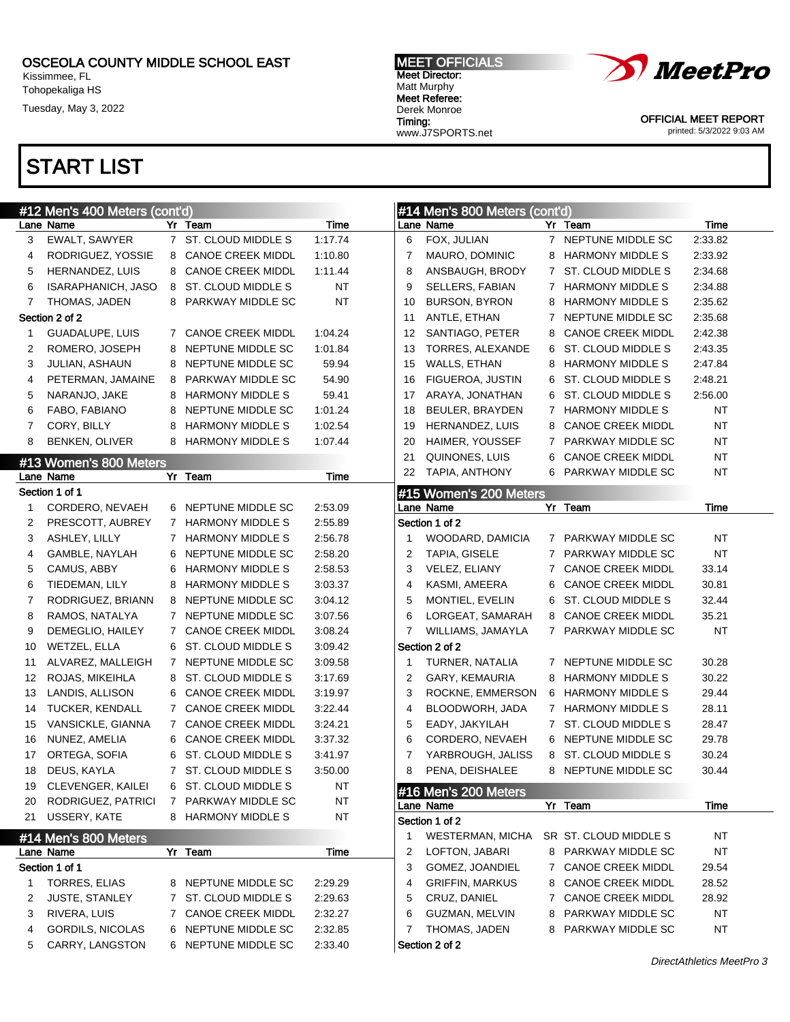Kissimmee, FL Tohopekaliga HS

Tuesday, May 3, 2022

### MEET OFFICIALS Meet Director: Matt Murphy Meet Referee: Derek Monroe Timing: www.J7SPORTS.net



OFFICIAL MEET REPORT printed: 5/3/2022 9:03 AM

|    | #12 Men's 400 Meters (cont'd)     |              |                          |             |    | #14 Men's 800 Meters (cont'd)     |   |                          |           |
|----|-----------------------------------|--------------|--------------------------|-------------|----|-----------------------------------|---|--------------------------|-----------|
|    | Lane Name                         |              | Yr Team                  | Time        |    | Lane Name                         |   | Yr Team                  | Time      |
| 3  | EWALT, SAWYER                     |              | 7 ST. CLOUD MIDDLE S     | 1:17.74     | 6  | FOX, JULIAN                       |   | 7 NEPTUNE MIDDLE SC      | 2:33.82   |
| 4  | RODRIGUEZ, YOSSIE                 | 8            | <b>CANOE CREEK MIDDL</b> | 1:10.80     | 7  | MAURO, DOMINIC                    | 8 | <b>HARMONY MIDDLE S</b>  | 2:33.92   |
| 5  | HERNANDEZ, LUIS                   |              | 8 CANOE CREEK MIDDL      | 1:11.44     | 8  | ANSBAUGH, BRODY                   |   | 7 ST. CLOUD MIDDLE S     | 2:34.68   |
| 6  | ISARAPHANICH, JASO                | 8            | ST. CLOUD MIDDLE S       | NT          | 9  | SELLERS, FABIAN                   |   | 7 HARMONY MIDDLE S       | 2:34.88   |
| 7  | THOMAS, JADEN                     |              | 8 PARKWAY MIDDLE SC      | <b>NT</b>   | 10 | <b>BURSON, BYRON</b>              | 8 | <b>HARMONY MIDDLE S</b>  | 2:35.62   |
|    | Section 2 of 2                    |              |                          |             | 11 | ANTLE, ETHAN                      |   | 7 NEPTUNE MIDDLE SC      | 2:35.68   |
| 1  | GUADALUPE, LUIS                   |              | 7 CANOE CREEK MIDDL      | 1:04.24     | 12 | SANTIAGO, PETER                   | 8 | <b>CANOE CREEK MIDDL</b> | 2:42.38   |
| 2  | ROMERO, JOSEPH                    | 8            | NEPTUNE MIDDLE SC        | 1:01.84     | 13 | TORRES, ALEXANDE                  | 6 | ST. CLOUD MIDDLE S       | 2:43.35   |
| 3  | JULIAN, ASHAUN                    | 8            | NEPTUNE MIDDLE SC        | 59.94       | 15 | <b>WALLS, ETHAN</b>               | 8 | <b>HARMONY MIDDLE S</b>  | 2:47.84   |
| 4  | PETERMAN, JAMAINE                 | 8            | PARKWAY MIDDLE SC        | 54.90       | 16 | FIGUEROA, JUSTIN                  | 6 | ST. CLOUD MIDDLE S       | 2:48.21   |
| 5  | NARANJO, JAKE                     |              | 8 HARMONY MIDDLE S       | 59.41       | 17 | ARAYA, JONATHAN                   | 6 | ST. CLOUD MIDDLE S       | 2:56.00   |
| 6  | FABO, FABIANO                     | 8            | NEPTUNE MIDDLE SC        | 1:01.24     | 18 | BEULER, BRAYDEN                   |   | 7 HARMONY MIDDLE S       | NT        |
| 7  | CORY, BILLY                       | 8            | <b>HARMONY MIDDLE S</b>  | 1:02.54     | 19 | HERNANDEZ, LUIS                   | 8 | <b>CANOE CREEK MIDDL</b> | <b>NT</b> |
| 8  | BENKEN, OLIVER                    |              | 8 HARMONY MIDDLE S       | 1:07.44     | 20 | HAIMER, YOUSSEF                   |   | 7 PARKWAY MIDDLE SC      | <b>NT</b> |
|    | #13 Women's 800 Meters            |              |                          |             | 21 | QUINONES, LUIS                    | 6 | <b>CANOE CREEK MIDDL</b> | <b>NT</b> |
|    | Lane Name                         |              | Yr Team                  | <b>Time</b> | 22 | TAPIA, ANTHONY                    |   | 6 PARKWAY MIDDLE SC      | <b>NT</b> |
|    | Section 1 of 1                    |              |                          |             |    | #15 Women's 200 Meters            |   |                          |           |
| 1  | CORDERO, NEVAEH                   |              | 6 NEPTUNE MIDDLE SC      | 2:53.09     |    | Lane Name                         |   | Yr Team                  | Time      |
| 2  | PRESCOTT, AUBREY                  | 7            | <b>HARMONY MIDDLE S</b>  | 2:55.89     |    | Section 1 of 2                    |   |                          |           |
| 3  | ASHLEY, LILLY                     | $7^{\circ}$  | <b>HARMONY MIDDLE S</b>  | 2:56.78     | 1  | WOODARD, DAMICIA                  |   | 7 PARKWAY MIDDLE SC      | <b>NT</b> |
| 4  | GAMBLE, NAYLAH                    | 6            | NEPTUNE MIDDLE SC        | 2:58.20     | 2  | TAPIA, GISELE                     |   | 7 PARKWAY MIDDLE SC      | <b>NT</b> |
| 5  | CAMUS, ABBY                       | 6            | <b>HARMONY MIDDLE S</b>  | 2:58.53     | 3  | VELEZ, ELIANY                     |   | 7 CANOE CREEK MIDDL      | 33.14     |
| 6  | TIEDEMAN, LILY                    | 8            | <b>HARMONY MIDDLE S</b>  | 3:03.37     | 4  | KASMI, AMEERA                     | 6 | <b>CANOE CREEK MIDDL</b> | 30.81     |
| 7  | RODRIGUEZ, BRIANN                 | 8            | NEPTUNE MIDDLE SC        | 3:04.12     | 5  | MONTIEL, EVELIN                   | 6 | ST. CLOUD MIDDLE S       | 32.44     |
| 8  | RAMOS, NATALYA                    | 7            | NEPTUNE MIDDLE SC        | 3:07.56     | 6  | LORGEAT, SAMARAH                  | 8 | <b>CANOE CREEK MIDDL</b> | 35.21     |
| 9  | DEMEGLIO, HAILEY                  | 7            | <b>CANOE CREEK MIDDL</b> | 3:08.24     | 7  | WILLIAMS, JAMAYLA                 |   | 7 PARKWAY MIDDLE SC      | <b>NT</b> |
| 10 | WETZEL, ELLA                      | 6            | ST. CLOUD MIDDLE S       | 3:09.42     |    | Section 2 of 2                    |   |                          |           |
| 11 | ALVAREZ, MALLEIGH                 | $\mathbf{7}$ | NEPTUNE MIDDLE SC        | 3:09.58     | 1  | TURNER, NATALIA                   |   | 7 NEPTUNE MIDDLE SC      | 30.28     |
| 12 | ROJAS, MIKEIHLA                   | 8            | ST. CLOUD MIDDLE S       | 3:17.69     | 2  | GARY, KEMAURIA                    | 8 | <b>HARMONY MIDDLE S</b>  | 30.22     |
| 13 | LANDIS, ALLISON                   | 6            | <b>CANOE CREEK MIDDL</b> | 3:19.97     | 3  | ROCKNE, EMMERSON                  | 6 | <b>HARMONY MIDDLE S</b>  | 29.44     |
| 14 | TUCKER, KENDALL                   | $7^{\circ}$  | <b>CANOE CREEK MIDDL</b> | 3:22.44     | 4  | BLOODWORH, JADA                   |   | 7 HARMONY MIDDLE S       | 28.11     |
| 15 | VANSICKLE, GIANNA                 | 7            | <b>CANOE CREEK MIDDL</b> | 3:24.21     | 5  | EADY, JAKYILAH                    |   | 7 ST. CLOUD MIDDLE S     | 28.47     |
| 16 | NUNEZ, AMELIA                     |              | 6 CANOE CREEK MIDDL      | 3:37.32     | 6  | CORDERO, NEVAEH                   | 6 | NEPTUNE MIDDLE SC        | 29.78     |
| 17 | ORTEGA, SOFIA                     | 6            | ST. CLOUD MIDDLE S       | 3:41.97     | 7  | YARBROUGH, JALISS                 | 8 | ST. CLOUD MIDDLE S       | 30.24     |
| 18 | DEUS, KAYLA                       |              | 7 ST. CLOUD MIDDLE S     | 3:50.00     | 8  | PENA, DEISHALEE                   | 8 | NEPTUNE MIDDLE SC        | 30.44     |
| 19 | CLEVENGER, KAILEI                 |              | 6 ST. CLOUD MIDDLE S     | NT          |    |                                   |   |                          |           |
| 20 | RODRIGUEZ, PATRICI                | 7            | PARKWAY MIDDLE SC        | NT          |    | #16 Men's 200 Meters<br>Lane Name |   | Yr Team                  | Time      |
| 21 | USSERY, KATE                      |              | 8 HARMONY MIDDLE S       | NT          |    | Section 1 of 2                    |   |                          |           |
|    |                                   |              |                          |             |    | <b>WESTERMAN, MICHA</b>           |   | SR ST. CLOUD MIDDLE S    | NT        |
|    | #14 Men's 800 Meters<br>Lane Name |              | Yr Team                  | Time        | 2  | LOFTON, JABARI                    |   | 8 PARKWAY MIDDLE SC      | <b>NT</b> |
|    | Section 1 of 1                    |              |                          |             | 3  | GOMEZ, JOANDIEL                   |   | 7 CANOE CREEK MIDDL      | 29.54     |
| 1  | TORRES, ELIAS                     |              | 8 NEPTUNE MIDDLE SC      | 2:29.29     | 4  | <b>GRIFFIN, MARKUS</b>            | 8 | <b>CANOE CREEK MIDDL</b> | 28.52     |
| 2  | <b>JUSTE, STANLEY</b>             |              | ST. CLOUD MIDDLE S       | 2:29.63     | 5  | CRUZ, DANIEL                      |   | 7 CANOE CREEK MIDDL      | 28.92     |
| 3  | RIVERA, LUIS                      | $\mathbf{7}$ | <b>CANOE CREEK MIDDL</b> | 2:32.27     | 6  | GUZMAN, MELVIN                    |   | PARKWAY MIDDLE SC        | <b>NT</b> |
| 4  | GORDILS, NICOLAS                  | 7            | 6 NEPTUNE MIDDLE SC      | 2:32.85     | 7  | THOMAS, JADEN                     | 8 | 8 PARKWAY MIDDLE SC      | <b>NT</b> |
| 5  | CARRY, LANGSTON                   |              | 6 NEPTUNE MIDDLE SC      | 2:33.40     |    | Section 2 of 2                    |   |                          |           |
|    |                                   |              |                          |             |    |                                   |   |                          |           |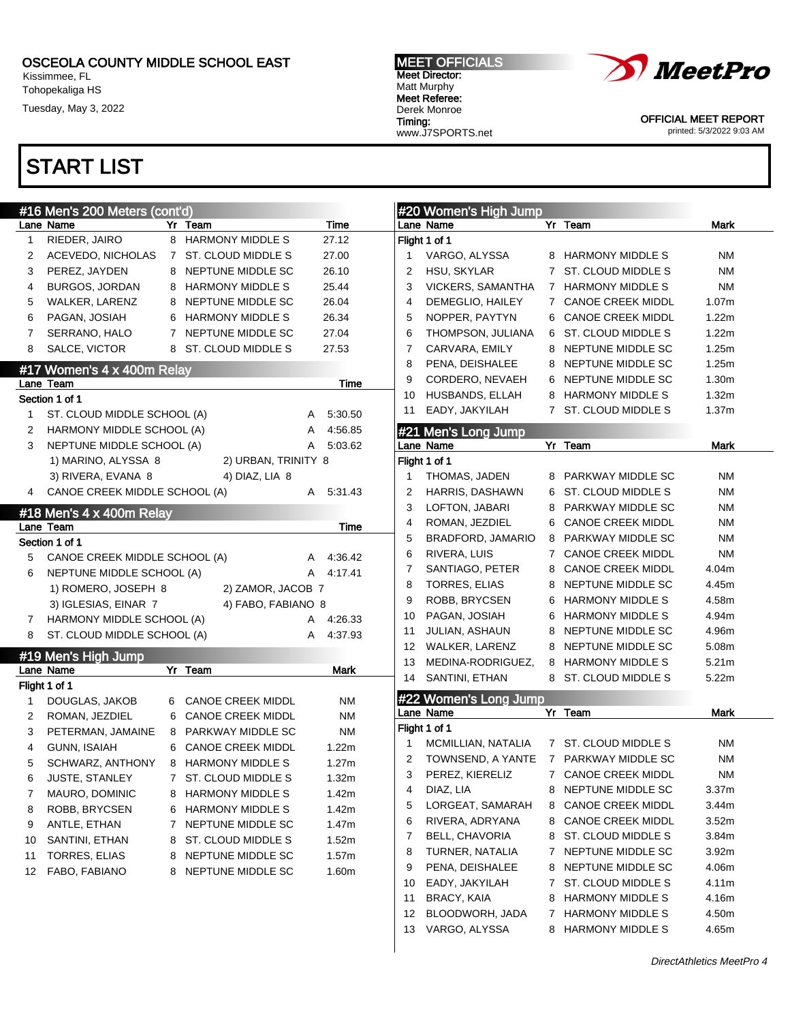Lane Name Yr Team Time 1 RIEDER, JAIRO 8 HARMONY MIDDLE S 27.12 2 ACEVEDO, NICHOLAS 7 ST. CLOUD MIDDLE S 27.00 3 PEREZ, JAYDEN 8 NEPTUNE MIDDLE SC 26.10 4 BURGOS, JORDAN 8 HARMONY MIDDLE S 25.44 5 WALKER, LARENZ 8 NEPTUNE MIDDLE SC 26.04 6 PAGAN, JOSIAH 6 HARMONY MIDDLE S 26.34 7 SERRANO, HALO 7 NEPTUNE MIDDLE SC 27.04 8 SALCE, VICTOR 8 ST. CLOUD MIDDLE S 27.53

Lane Team Time

1 ST. CLOUD MIDDLE SCHOOL (A) A 5:30.50 2 HARMONY MIDDLE SCHOOL (A) A 4:56.85 3 NEPTUNE MIDDLE SCHOOL (A) A 5:03.62 1) MARINO, ALYSSA 8 2) URBAN, TRINITY 8 3) RIVERA, EVANA 8 4) DIAZ, LIA 8

Kissimmee, FL Tohopekaliga HS

Tuesday, May 3, 2022

# START LIST

#16 Men's 200 Meters (cont'd)

#17 Women's 4 x 400m Relay

Section 1 of 1

MEET OFFICIALS Meet Director: Matt Murphy Meet Referee: Derek Monroe Timing:



OFFICIAL MEET REPORT printed: 5/3/2022 9:03 AM

|                | Lane Name                               |             | Yr Team                               | Mark              |
|----------------|-----------------------------------------|-------------|---------------------------------------|-------------------|
|                | Flight 1 of 1                           |             |                                       |                   |
| 1              | VARGO, ALYSSA                           |             | 8 HARMONY MIDDLE S                    | ΝM                |
| 2              | HSU, SKYLAR                             | $7^{\circ}$ | ST. CLOUD MIDDLE S                    | ΝM                |
| 3              | VICKERS, SAMANTHA                       |             | 7 HARMONY MIDDLE S                    | ΝM                |
| 4              | DEMEGLIO, HAILEY                        |             | 7 CANOE CREEK MIDDL                   | 1.07m             |
| 5              | NOPPER, PAYTYN                          |             | 6 CANOE CREEK MIDDL                   | 1.22m             |
| 6              | THOMPSON, JULIANA                       |             | 6 ST. CLOUD MIDDLE S                  | 1.22m             |
| 7              | CARVARA, EMILY                          | 8           | NEPTUNE MIDDLE SC                     | 1.25m             |
| 8              | PENA, DEISHALEE                         |             | 8 NEPTUNE MIDDLE SC                   | 1.25m             |
| 9              | CORDERO, NEVAEH                         |             | 6 NEPTUNE MIDDLE SC                   | 1.30 <sub>m</sub> |
| 10             | HUSBANDS, ELLAH                         |             | 8 HARMONY MIDDLE S                    | 1.32m             |
| 11             | EADY, JAKYILAH                          |             | 7 ST. CLOUD MIDDLE S                  | 1.37m             |
|                | #21 Men's Long Jump                     |             |                                       |                   |
|                | Lane Name                               |             | Yr Team                               | Mark              |
|                | Flight 1 of 1                           |             |                                       |                   |
| 1              | THOMAS, JADEN                           |             | 8 PARKWAY MIDDLE SC                   | ΝM                |
| 2              | HARRIS, DASHAWN                         | 6           | ST. CLOUD MIDDLE S                    | ΝM                |
| 3              | LOFTON, JABARI                          |             | 8 PARKWAY MIDDLE SC                   | ΝM                |
| 4              | ROMAN, JEZDIEL                          |             | 6 CANOE CREEK MIDDL                   | ΝM                |
| 5              | BRADFORD, JAMARIO                       |             | 8 PARKWAY MIDDLE SC                   | ΝM                |
| 6              | RIVERA, LUIS                            | 7           | <b>CANOE CREEK MIDDL</b>              | ΝM                |
| 7              | SANTIAGO, PETER                         |             | 8 CANOE CREEK MIDDL                   | 4.04m             |
| 8              | TORRES, ELIAS                           | 8           | NEPTUNE MIDDLE SC                     | 4.45m             |
| 9              | ROBB, BRYCSEN                           |             | 6 HARMONY MIDDLE S                    | 4.58m             |
| 10             | PAGAN, JOSIAH                           |             | 6 HARMONY MIDDLE S                    | 4.94m             |
| 11             | JULIAN, ASHAUN                          |             | 8 NEPTUNE MIDDLE SC                   | 4.96m             |
| 12             | WALKER, LARENZ                          |             | 8 NEPTUNE MIDDLE SC                   | 5.08m             |
| 13             | MEDINA-RODRIGUEZ, 8 HARMONY MIDDLE S    |             |                                       | 5.21m             |
| 14             | SANTINI, ETHAN                          |             | 8 ST. CLOUD MIDDLE S                  | 5.22m             |
|                | #22 Women's Long Jump                   |             |                                       |                   |
|                | Lane Name                               |             | Yr Team                               | Mark              |
|                | Flight 1 of 1                           |             |                                       |                   |
| $\mathbf{1}$   | MCMILLIAN, NATALIA 7 ST. CLOUD MIDDLE S |             |                                       | NM                |
| 2              |                                         |             | TOWNSEND, A YANTE 7 PARKWAY MIDDLE SC | NM                |
| 3              | PEREZ, KIERELIZ                         |             | 7 CANOE CREEK MIDDL                   | ΝM                |
| 4              | DIAZ, LIA                               | 8           | NEPTUNE MIDDLE SC                     | 3.37 <sub>m</sub> |
| 5              | LORGEAT, SAMARAH                        | 8           | <b>CANOE CREEK MIDDL</b>              | 3.44m             |
| 6              | RIVERA, ADRYANA                         | 8           | <b>CANOE CREEK MIDDL</b>              | 3.52m             |
| $\overline{7}$ | BELL, CHAVORIA                          | 8           | ST. CLOUD MIDDLE S                    | 3.84m             |
| 8              | TURNER, NATALIA                         | 7           | NEPTUNE MIDDLE SC                     | 3.92 <sub>m</sub> |
| 9              | PENA, DEISHALEE                         | 8           | NEPTUNE MIDDLE SC                     | 4.06m             |
| 10             | EADY, JAKYILAH                          | 7           | ST. CLOUD MIDDLE S                    | 4.11m             |
| 11             | BRACY, KAIA                             | 8           | HARMONY MIDDLE S                      | 4.16m             |
| 12             | BLOODWORH, JADA                         | 7           | <b>HARMONY MIDDLE S</b>               | 4.50m             |
| 13             | VARGO, ALYSSA                           | 8           | <b>HARMONY MIDDLE S</b>               | 4.65m             |
|                |                                         |             |                                       |                   |

# **H**#20 Women's High Jump www.J7SPORTS.net

| 4           | CANOE CREEK MIDDLE SCHOOL (A) |                |                          | A | 5:31.43     |
|-------------|-------------------------------|----------------|--------------------------|---|-------------|
|             | #18 Men's 4 x 400m Relay      |                |                          |   |             |
|             | Lane Team                     |                |                          |   | Time        |
|             | Section 1 of 1                |                |                          |   |             |
| 5           | CANOE CREEK MIDDLE SCHOOL (A) |                |                          | А | 4:36.42     |
| 6           | NEPTUNE MIDDLE SCHOOL (A)     |                |                          | А | 4:17.41     |
|             | 1) ROMERO, JOSEPH 8           |                | 2) ZAMOR, JACOB 7        |   |             |
|             | 3) IGLESIAS, EINAR 7          |                | 4) FABO, FABIANO 8       |   |             |
| $7^{\circ}$ | HARMONY MIDDLE SCHOOL (A)     |                |                          | A | 4:26.33     |
| 8           | ST. CLOUD MIDDLE SCHOOL (A)   |                |                          | A | 4:37.93     |
|             | #19 Men's High Jump           |                |                          |   |             |
|             | Lane Name                     | Yr             | Team                     |   | <b>Mark</b> |
|             | Flight 1 of 1                 |                |                          |   |             |
| 1           | DOUGLAS, JAKOB                | 6              | <b>CANOE CREEK MIDDL</b> |   | <b>NM</b>   |
| 2           | ROMAN, JEZDIEL                | 6              | <b>CANOE CREEK MIDDL</b> |   | <b>NM</b>   |
| 3           | PETERMAN, JAMAINE             | 8              | PARKWAY MIDDLE SC        |   | <b>NM</b>   |
| 4           | <b>GUNN, ISAIAH</b>           | 6              | <b>CANOE CREEK MIDDL</b> |   | 1.22m       |
| 5           | SCHWARZ, ANTHONY              | 8              | <b>HARMONY MIDDLE S</b>  |   | 1.27m       |
| 6           | <b>JUSTE, STANLEY</b>         | 7              | ST. CLOUD MIDDLE S       |   | 1.32m       |
| 7           | MAURO, DOMINIC                | 8              | <b>HARMONY MIDDLE S</b>  |   | 1.42m       |
| 8           | ROBB, BRYCSEN                 | 6              | <b>HARMONY MIDDLE S</b>  |   | 1.42m       |
| 9           | ANTLE, ETHAN                  | $\overline{7}$ | NEPTUNE MIDDLE SC        |   | 1.47m       |
| 10          | SANTINI, ETHAN                | 8              | ST. CLOUD MIDDLE S       |   | 1.52m       |
| 11          | TORRES, ELIAS                 | 8              | NEPTUNE MIDDLE SC        |   | 1.57m       |
| 12          | FABO, FABIANO                 | 8              | NEPTUNE MIDDLE SC        |   | 1.60m       |
|             |                               |                |                          |   |             |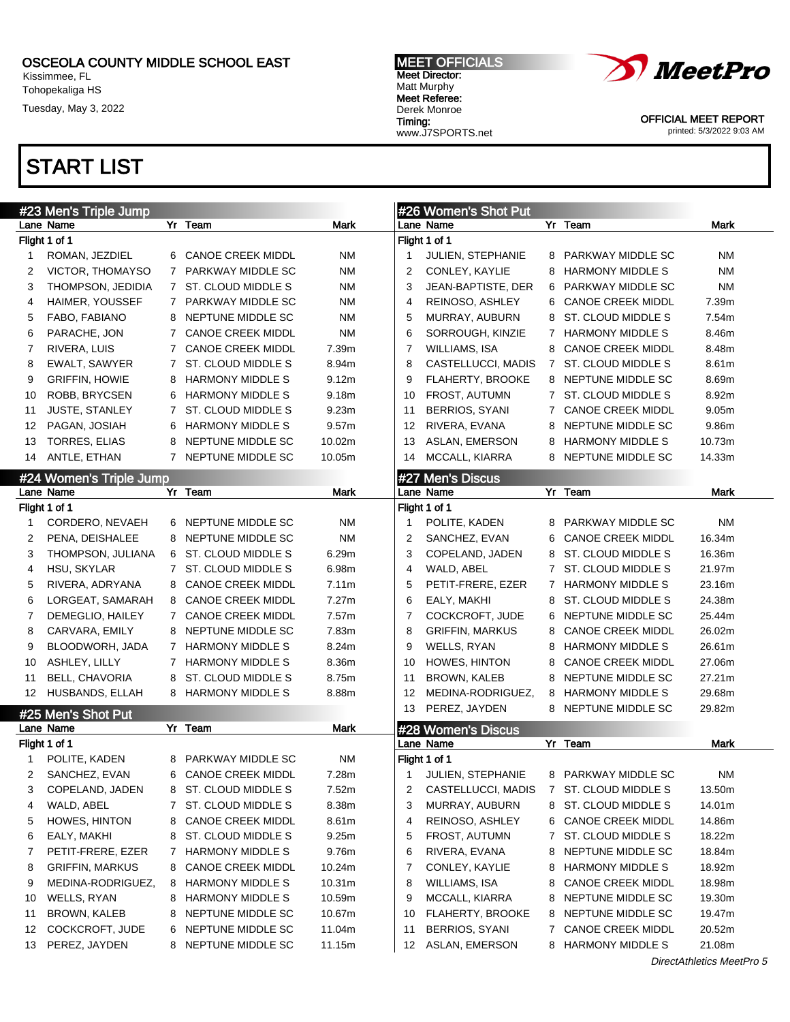Kissimmee, FL Tohopekaliga HS

Tuesday, May 3, 2022

### MEET OFFICIALS Meet Director: Matt Murphy Meet Referee: Derek Monroe Timing:

www.J7SPORTS.net



OFFICIAL MEET REPORT printed: 5/3/2022 9:03 AM

|    | #23 Men's Triple Jump              |              |                          |             |                | #26 Women's Shot Put            |             |                                                     |           |
|----|------------------------------------|--------------|--------------------------|-------------|----------------|---------------------------------|-------------|-----------------------------------------------------|-----------|
|    | Lane Name                          |              | Yr Team                  | Mark        |                | Lane Name                       |             | Yr Team                                             | Mark      |
|    | Flight 1 of 1                      |              |                          |             |                | Flight 1 of 1                   |             |                                                     |           |
| 1  | ROMAN, JEZDIEL                     |              | 6 CANOE CREEK MIDDL      | ΝM          | -1             | JULIEN, STEPHANIE               | 8           | PARKWAY MIDDLE SC                                   | <b>NM</b> |
| 2  | VICTOR, THOMAYSO                   | 7            | PARKWAY MIDDLE SC        | NM          | $\overline{2}$ | CONLEY, KAYLIE                  | 8           | <b>HARMONY MIDDLE S</b>                             | <b>NM</b> |
| 3  | THOMPSON, JEDIDIA                  |              | 7 ST. CLOUD MIDDLE S     | ΝM          | 3              | JEAN-BAPTISTE, DER              | 6           | <b>PARKWAY MIDDLE SC</b>                            | <b>NM</b> |
| 4  | HAIMER, YOUSSEF                    | $\mathbf{7}$ | PARKWAY MIDDLE SC        | ΝM          | 4              | REINOSO, ASHLEY                 | 6           | <b>CANOE CREEK MIDDL</b>                            | 7.39m     |
| 5  | FABO, FABIANO                      | 8            | NEPTUNE MIDDLE SC        | ΝM          | 5              | MURRAY, AUBURN                  | 8           | ST. CLOUD MIDDLE S                                  | 7.54m     |
| 6  | PARACHE, JON                       | 7            | <b>CANOE CREEK MIDDL</b> | ΝM          | 6              | SORROUGH, KINZIE                |             | 7 HARMONY MIDDLE S                                  | 8.46m     |
| 7  | RIVERA, LUIS                       | 7            | <b>CANOE CREEK MIDDL</b> | 7.39m       | 7              | <b>WILLIAMS, ISA</b>            | 8           | <b>CANOE CREEK MIDDL</b>                            | 8.48m     |
| 8  | EWALT, SAWYER                      | 7            | ST. CLOUD MIDDLE S       | 8.94m       | 8              | CASTELLUCCI, MADIS              | 7           | ST. CLOUD MIDDLE S                                  | 8.61m     |
| 9  | <b>GRIFFIN, HOWIE</b>              | 8            | <b>HARMONY MIDDLE S</b>  | 9.12m       | 9              | FLAHERTY, BROOKE                |             | 8 NEPTUNE MIDDLE SC                                 | 8.69m     |
| 10 | ROBB, BRYCSEN                      | 6            | <b>HARMONY MIDDLE S</b>  | 9.18m       | 10             | FROST, AUTUMN                   |             | 7 ST. CLOUD MIDDLE S                                | 8.92m     |
| 11 | <b>JUSTE, STANLEY</b>              | 7            | ST. CLOUD MIDDLE S       | 9.23m       | 11             | <b>BERRIOS, SYANI</b>           | 7           | <b>CANOE CREEK MIDDL</b>                            | 9.05m     |
| 12 | PAGAN, JOSIAH                      | 6            | <b>HARMONY MIDDLE S</b>  | 9.57m       | 12             | RIVERA, EVANA                   | 8           | NEPTUNE MIDDLE SC                                   | 9.86m     |
| 13 | <b>TORRES, ELIAS</b>               | 8            | NEPTUNE MIDDLE SC        | 10.02m      | 13             | ASLAN, EMERSON                  | 8           | <b>HARMONY MIDDLE S</b>                             | 10.73m    |
| 14 | ANTLE, ETHAN                       |              | 7 NEPTUNE MIDDLE SC      | 10.05m      | 14             | MCCALL, KIARRA                  |             | 8 NEPTUNE MIDDLE SC                                 | 14.33m    |
|    | #24 Women's Triple Jump            |              |                          |             |                | #27 Men's Discus                |             |                                                     |           |
|    | Lane Name                          |              | Yr Team                  | Mark        |                | Lane Name                       |             | Yr Team                                             | Mark      |
|    | Flight 1 of 1                      |              |                          |             |                | Flight 1 of 1                   |             |                                                     |           |
| -1 | CORDERO, NEVAEH                    |              | 6 NEPTUNE MIDDLE SC      | NM          | -1             | POLITE, KADEN                   | 8           | PARKWAY MIDDLE SC                                   | <b>NM</b> |
| 2  | PENA, DEISHALEE                    |              | 8 NEPTUNE MIDDLE SC      | <b>NM</b>   | 2              | SANCHEZ, EVAN                   | 6           | <b>CANOE CREEK MIDDL</b>                            | 16.34m    |
| 3  | THOMPSON, JULIANA                  |              | 6 ST. CLOUD MIDDLE S     | 6.29m       | 3              | COPELAND, JADEN                 | 8           | ST. CLOUD MIDDLE S                                  | 16.36m    |
| 4  | HSU, SKYLAR                        | $7^{\circ}$  | ST. CLOUD MIDDLE S       | 6.98m       | 4              | WALD, ABEL                      | $7^{\circ}$ | ST. CLOUD MIDDLE S                                  | 21.97m    |
| 5  | RIVERA, ADRYANA                    |              | 8 CANOE CREEK MIDDL      | 7.11m       | 5              | PETIT-FRERE, EZER               |             | 7 HARMONY MIDDLE S                                  | 23.16m    |
| 6  | LORGEAT, SAMARAH                   | 8            | <b>CANOE CREEK MIDDL</b> | 7.27m       | 6              | EALY, MAKHI                     | 8           | ST. CLOUD MIDDLE S                                  | 24.38m    |
| 7  | DEMEGLIO, HAILEY                   | $7^{\circ}$  | <b>CANOE CREEK MIDDL</b> | 7.57m       | 7              | COCKCROFT, JUDE                 | 6           | NEPTUNE MIDDLE SC                                   | 25.44m    |
| 8  | CARVARA, EMILY                     |              | 8 NEPTUNE MIDDLE SC      | 7.83m       | 8              | <b>GRIFFIN, MARKUS</b>          | 8           | <b>CANOE CREEK MIDDL</b>                            | 26.02m    |
| 9  | BLOODWORH, JADA                    | 7            | <b>HARMONY MIDDLE S</b>  | 8.24m       | 9              | WELLS, RYAN                     | 8           | <b>HARMONY MIDDLE S</b>                             | 26.61m    |
| 10 | ASHLEY, LILLY                      | 7            | <b>HARMONY MIDDLE S</b>  | 8.36m       | 10             | HOWES, HINTON                   | 8           | <b>CANOE CREEK MIDDL</b>                            | 27.06m    |
| 11 | <b>BELL, CHAVORIA</b>              | 8            | ST. CLOUD MIDDLE S       | 8.75m       | 11             | <b>BROWN, KALEB</b>             | 8           | NEPTUNE MIDDLE SC                                   | 27.21m    |
| 12 | HUSBANDS, ELLAH                    |              | 8 HARMONY MIDDLE S       | 8.88m       | 12             | MEDINA-RODRIGUEZ,               | 8           | <b>HARMONY MIDDLE S</b>                             | 29.68m    |
|    |                                    |              |                          |             | 13             | PEREZ, JAYDEN                   |             | 8 NEPTUNE MIDDLE SC                                 | 29.82m    |
|    | #25 Men's Shot Put<br>Lane Name    |              | Yr Team                  | <b>Mark</b> |                |                                 |             |                                                     |           |
|    | Flight 1 of 1                      |              |                          |             |                | #28 Women's Discus<br>Lane Name |             | Yr Team                                             | Mark      |
| 1  | POLITE, KADEN                      | 8            | PARKWAY MIDDLE SC        | ΝM          |                | Flight 1 of 1                   |             |                                                     |           |
| 2  | SANCHEZ, EVAN                      |              | 6 CANOE CREEK MIDDL      | 7.28m       | -1             | JULIEN, STEPHANIE               |             | 8 PARKWAY MIDDLE SC                                 | ΝM        |
| 3  | COPELAND, JADEN                    | 8            | ST. CLOUD MIDDLE S       | 7.52m       | 2              | CASTELLUCCI, MADIS              | 7           | ST. CLOUD MIDDLE S                                  | 13.50m    |
| 4  | WALD, ABEL                         | 7            | ST. CLOUD MIDDLE S       | 8.38m       | 3              | MURRAY, AUBURN                  | 8           | ST. CLOUD MIDDLE S                                  | 14.01m    |
| 5  | HOWES, HINTON                      | 8            | <b>CANOE CREEK MIDDL</b> | 8.61m       | 4              | REINOSO, ASHLEY                 | 6           | <b>CANOE CREEK MIDDL</b>                            | 14.86m    |
| 6  | EALY, MAKHI                        | 8            | ST. CLOUD MIDDLE S       | 9.25m       | 5              | FROST, AUTUMN                   | 7           | ST. CLOUD MIDDLE S                                  | 18.22m    |
| 7  | PETIT-FRERE, EZER                  | 7            | <b>HARMONY MIDDLE S</b>  | 9.76m       | 6              | RIVERA, EVANA                   | 8           | NEPTUNE MIDDLE SC                                   | 18.84m    |
| 8  | <b>GRIFFIN, MARKUS</b>             | 8            | <b>CANOE CREEK MIDDL</b> | 10.24m      | 7              | CONLEY, KAYLIE                  | 8           | <b>HARMONY MIDDLE S</b>                             | 18.92m    |
| 9  | MEDINA-RODRIGUEZ,                  | 8            | <b>HARMONY MIDDLE S</b>  | 10.31m      | 8              | WILLIAMS, ISA                   | 8           | <b>CANOE CREEK MIDDL</b>                            | 18.98m    |
|    |                                    |              | <b>HARMONY MIDDLE S</b>  |             |                |                                 |             | NEPTUNE MIDDLE SC                                   |           |
| 10 | WELLS, RYAN<br><b>BROWN, KALEB</b> | 8            | NEPTUNE MIDDLE SC        | 10.59m      | 9              | MCCALL, KIARRA                  | 8           |                                                     | 19.30m    |
| 11 |                                    | 8            |                          | 10.67m      | 10             | <b>FLAHERTY, BROOKE</b>         | 8           | NEPTUNE MIDDLE SC                                   | 19.47m    |
| 12 | COCKCROFT, JUDE                    | 6            | NEPTUNE MIDDLE SC        | 11.04m      | 11             | BERRIOS, SYANI                  | 7           | <b>CANOE CREEK MIDDL</b><br><b>HARMONY MIDDLE S</b> | 20.52m    |
| 13 | PEREZ, JAYDEN                      |              | 8 NEPTUNE MIDDLE SC      | 11.15m      | 12             | ASLAN, EMERSON                  | 8           |                                                     | 21.08m    |